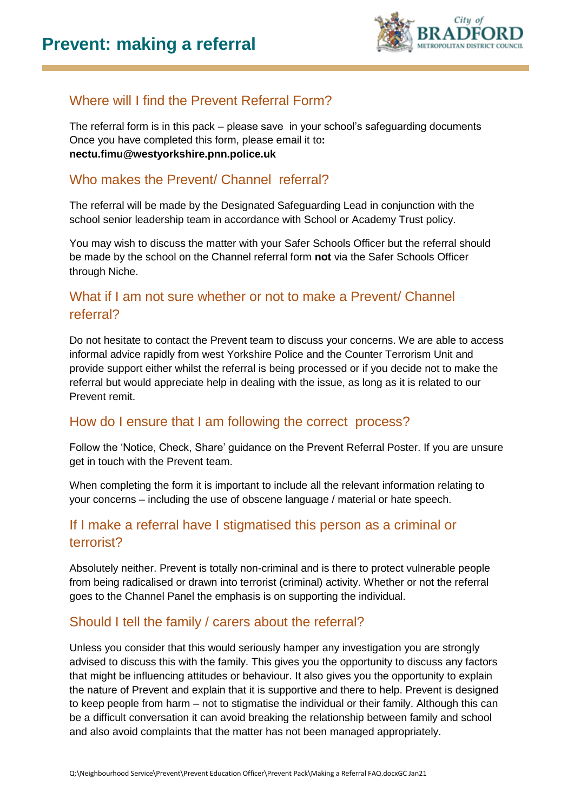

# Where will I find the Prevent Referral Form?

The referral form is in this pack – please save in your school's safeguarding documents Once you have completed this form, please email it to**: nectu.fimu@westyorkshire.pnn.police.uk**

## Who makes the Prevent/ Channel referral?

The referral will be made by the Designated Safeguarding Lead in conjunction with the school senior leadership team in accordance with School or Academy Trust policy.

You may wish to discuss the matter with your Safer Schools Officer but the referral should be made by the school on the Channel referral form **not** via the Safer Schools Officer through Niche.

## What if I am not sure whether or not to make a Prevent/ Channel referral?

Do not hesitate to contact the Prevent team to discuss your concerns. We are able to access informal advice rapidly from west Yorkshire Police and the Counter Terrorism Unit and provide support either whilst the referral is being processed or if you decide not to make the referral but would appreciate help in dealing with the issue, as long as it is related to our Prevent remit.

## How do I ensure that I am following the correct process?

Follow the 'Notice, Check, Share' guidance on the Prevent Referral Poster. If you are unsure get in touch with the Prevent team.

When completing the form it is important to include all the relevant information relating to your concerns – including the use of obscene language / material or hate speech.

## If I make a referral have I stigmatised this person as a criminal or terrorist?

Absolutely neither. Prevent is totally non-criminal and is there to protect vulnerable people from being radicalised or drawn into terrorist (criminal) activity. Whether or not the referral goes to the Channel Panel the emphasis is on supporting the individual.

## Should I tell the family / carers about the referral?

Unless you consider that this would seriously hamper any investigation you are strongly advised to discuss this with the family. This gives you the opportunity to discuss any factors that might be influencing attitudes or behaviour. It also gives you the opportunity to explain the nature of Prevent and explain that it is supportive and there to help. Prevent is designed to keep people from harm – not to stigmatise the individual or their family. Although this can be a difficult conversation it can avoid breaking the relationship between family and school and also avoid complaints that the matter has not been managed appropriately.